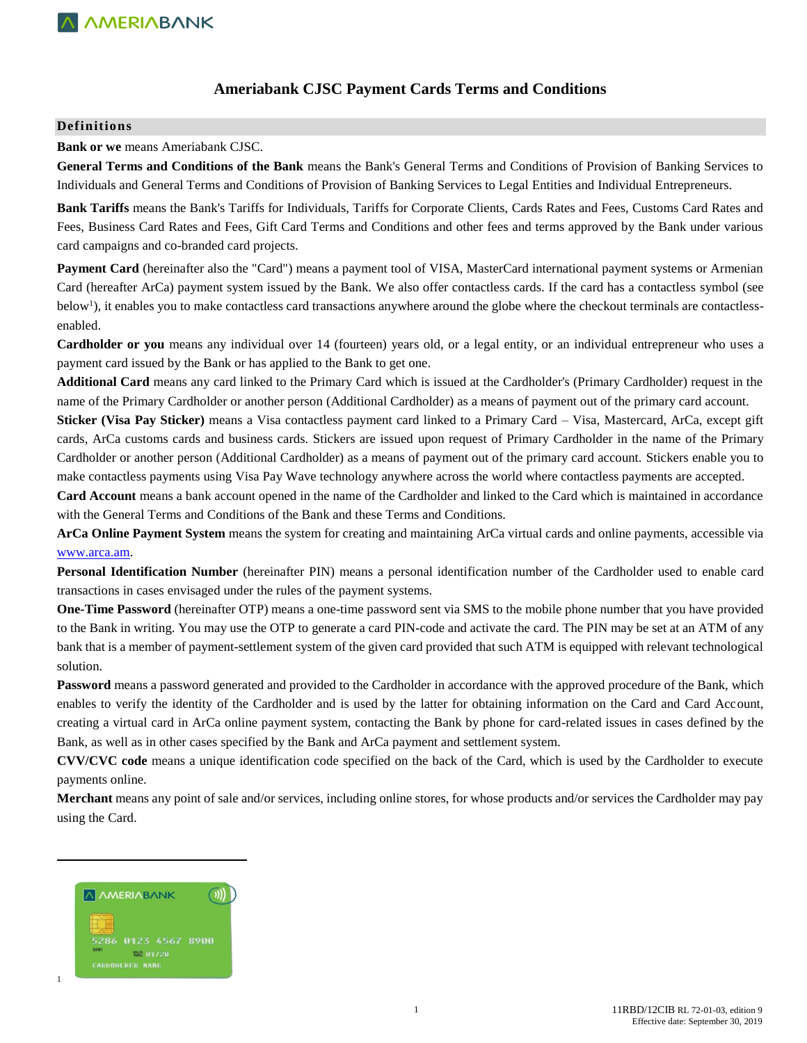## **Ameriabank CJSC Payment Cards Terms and Conditions**

### **Definitions**

**Bank or we** means Ameriabank CJSC.

**General Terms and Conditions of the Bank** means the Bank's General Terms and Conditions of Provision of Banking Services to Individuals and General Terms and Conditions of Provision of Banking Services to Legal Entities and Individual Entrepreneurs.

**Bank Tariffs** means the Bank's Tariffs for Individuals, Tariffs for Corporate Clients, Cards Rates and Fees, Customs Card Rates and Fees, Business Card Rates and Fees, Gift Card Terms and Conditions and other fees and terms approved by the Bank under various card campaigns and co-branded card projects.

Payment Card (hereinafter also the "Card") means a payment tool of VISA, MasterCard international payment systems or Armenian Card (hereafter ArCa) payment system issued by the Bank. We also offer contactless cards. If the card has a contactless symbol (see below<sup>1</sup>), it enables you to make contactless card transactions anywhere around the globe where the checkout terminals are contactlessenabled.

**Cardholder or you** means any individual over 14 (fourteen) years old, or a legal entity, or an individual entrepreneur who uses a payment card issued by the Bank or has applied to the Bank to get one.

**Additional Card** means any card linked to the Primary Card which is issued at the Cardholder's (Primary Cardholder) request in the name of the Primary Cardholder or another person (Additional Cardholder) as a means of payment out of the primary card account.

**Sticker (Visa Pay Sticker)** means a Visa contactless payment card linked to a Primary Card – Visa, Mastercard, ArCa, except gift cards, ArCa customs cards and business cards. Stickers are issued upon request of Primary Cardholder in the name of the Primary Cardholder or another person (Additional Cardholder) as a means of payment out of the primary card account. Stickers enable you to make contactless payments using Visa Pay Wave technology anywhere across the world where contactless payments are accepted.

**Card Account** means a bank account opened in the name of the Cardholder and linked to the Card which is maintained in accordance with the General Terms and Conditions of the Bank and these Terms and Conditions.

**ArCa Online Payment System** means the system for creating and maintaining ArCa virtual cards and online payments, accessible via [www.arca.am.](http://www.arca.am/)

**Personal Identification Number** (hereinafter PIN) means a personal identification number of the Cardholder used to enable card transactions in cases envisaged under the rules of the payment systems.

**One-Time Password** (hereinafter OTP) means a one-time password sent via SMS to the mobile phone number that you have provided to the Bank in writing. You may use the OTP to generate a card PIN-code and activate the card. The PIN may be set at an ATM of any bank that is a member of payment-settlement system of the given card provided that such ATM is equipped with relevant technological solution.

**Password** means a password generated and provided to the Cardholder in accordance with the approved procedure of the Bank, which enables to verify the identity of the Cardholder and is used by the latter for obtaining information on the Card and Card Account, creating a virtual card in ArCa online payment system, contacting the Bank by phone for card-related issues in cases defined by the Bank, as well as in other cases specified by the Bank and ArCa payment and settlement system.

**CVV/CVC code** means a unique identification code specified on the back of the Card, which is used by the Cardholder to execute payments online.

**Merchant** means any point of sale and/or services, including online stores, for whose products and/or services the Cardholder may pay using the Card.



 $\overline{\phantom{a}}$ 

1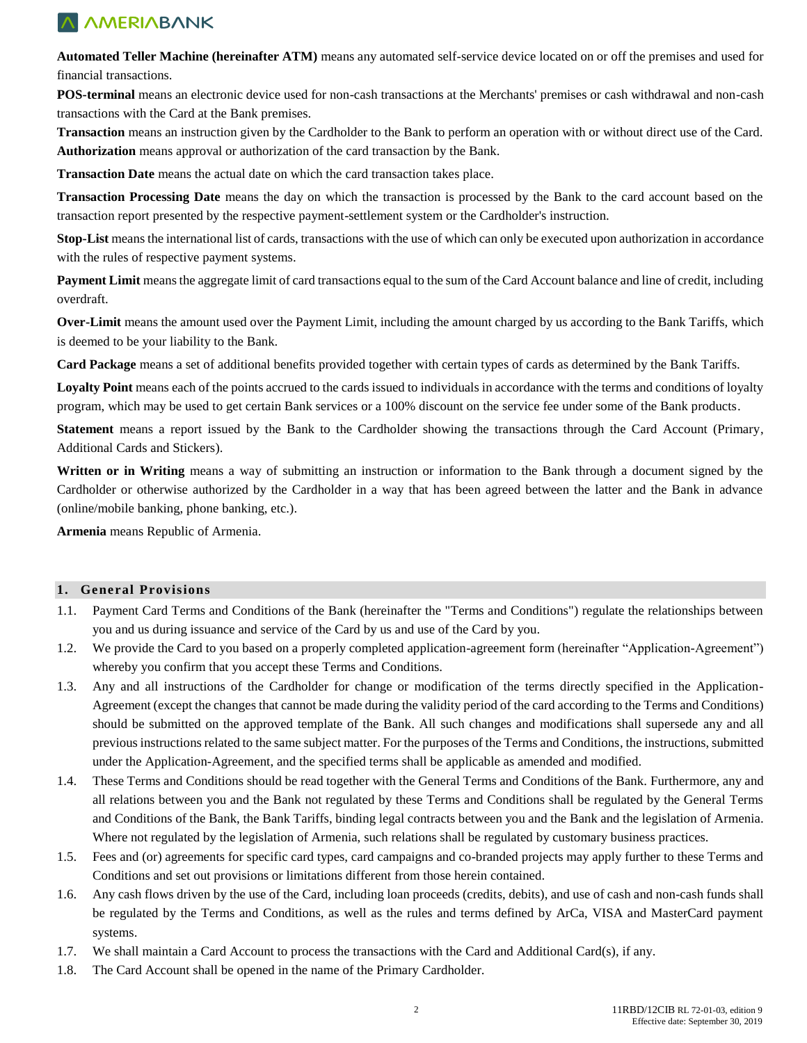**Automated Teller Machine (hereinafter ATM)** means any automated self-service device located on or off the premises and used for financial transactions.

**POS-terminal** means an electronic device used for non-cash transactions at the Merchants' premises or cash withdrawal and non-cash transactions with the Card at the Bank premises.

**Transaction** means an instruction given by the Cardholder to the Bank to perform an operation with or without direct use of the Card. **Authorization** means approval or authorization of the card transaction by the Bank.

**Transaction Date** means the actual date on which the card transaction takes place.

**Transaction Processing Date** means the day on which the transaction is processed by the Bank to the card account based on the transaction report presented by the respective payment-settlement system or the Cardholder's instruction.

**Stop-List** means the international list of cards, transactions with the use of which can only be executed upon authorization in accordance with the rules of respective payment systems.

**Payment Limit** means the aggregate limit of card transactions equal to the sum of the Card Account balance and line of credit, including overdraft.

**Over-Limit** means the amount used over the Payment Limit, including the amount charged by us according to the Bank Tariffs, which is deemed to be your liability to the Bank.

**Card Package** means a set of additional benefits provided together with certain types of cards as determined by the Bank Tariffs.

**Loyalty Point** means each of the points accrued to the cards issued to individuals in accordance with the terms and conditions of loyalty program, which may be used to get certain Bank services or a 100% discount on the service fee under some of the Bank products.

**Statement** means a report issued by the Bank to the Cardholder showing the transactions through the Card Account (Primary, Additional Cards and Stickers).

**Written or in Writing** means a way of submitting an instruction or information to the Bank through a document signed by the Cardholder or otherwise authorized by the Cardholder in a way that has been agreed between the latter and the Bank in advance (online/mobile banking, phone banking, etc.).

**Armenia** means Republic of Armenia.

## **1. General Provisions**

- 1.1. Payment Card Terms and Conditions of the Bank (hereinafter the "Terms and Conditions") regulate the relationships between you and us during issuance and service of the Card by us and use of the Card by you.
- 1.2. We provide the Card to you based on a properly completed application-agreement form (hereinafter "Application-Agreement") whereby you confirm that you accept these Terms and Conditions.
- 1.3. Any and all instructions of the Cardholder for change or modification of the terms directly specified in the Application-Agreement (except the changes that cannot be made during the validity period of the card according to the Terms and Conditions) should be submitted on the approved template of the Bank. All such changes and modifications shall supersede any and all previous instructions related to the same subject matter. For the purposes of the Terms and Conditions, the instructions, submitted under the Application-Agreement, and the specified terms shall be applicable as amended and modified.
- 1.4. These Terms and Conditions should be read together with the General Terms and Conditions of the Bank. Furthermore, any and all relations between you and the Bank not regulated by these Terms and Conditions shall be regulated by the General Terms and Conditions of the Bank, the Bank Tariffs, binding legal contracts between you and the Bank and the legislation of Armenia. Where not regulated by the legislation of Armenia, such relations shall be regulated by customary business practices.
- 1.5. Fees and (or) agreements for specific card types, card campaigns and co-branded projects may apply further to these Terms and Conditions and set out provisions or limitations different from those herein contained.
- 1.6. Any cash flows driven by the use of the Card, including loan proceeds (credits, debits), and use of cash and non-cash funds shall be regulated by the Terms and Conditions, as well as the rules and terms defined by ArCa, VISA and MasterCard payment systems.
- 1.7. We shall maintain a Card Account to process the transactions with the Card and Additional Card(s), if any.
- 1.8. The Card Account shall be opened in the name of the Primary Cardholder.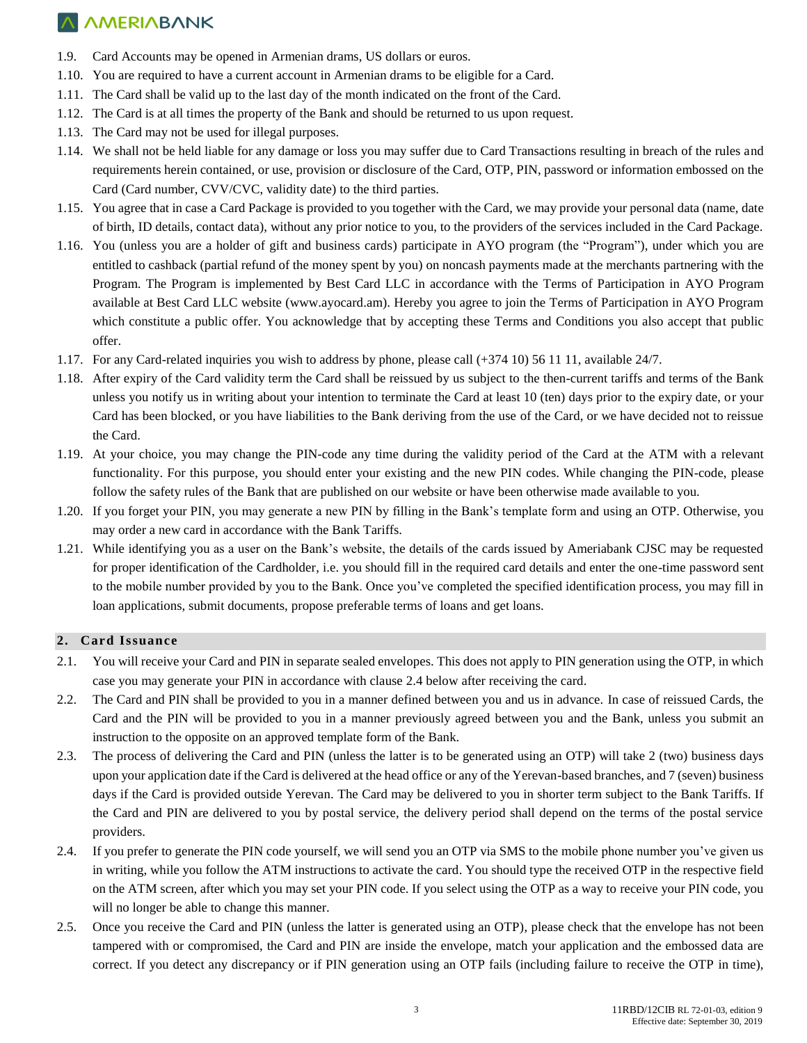- 1.9. Card Accounts may be opened in Armenian drams, US dollars or euros.
- 1.10. You are required to have a current account in Armenian drams to be eligible for a Card.
- 1.11. The Card shall be valid up to the last day of the month indicated on the front of the Card.
- 1.12. The Card is at all times the property of the Bank and should be returned to us upon request.
- 1.13. The Card may not be used for illegal purposes.
- 1.14. We shall not be held liable for any damage or loss you may suffer due to Card Transactions resulting in breach of the rules and requirements herein contained, or use, provision or disclosure of the Card, OTP, PIN, password or information embossed on the Card (Card number, CVV/CVC, validity date) to the third parties.
- 1.15. You agree that in case a Card Package is provided to you together with the Card, we may provide your personal data (name, date of birth, ID details, contact data), without any prior notice to you, to the providers of the services included in the Card Package.
- 1.16. You (unless you are a holder of gift and business cards) participate in AYO program (the "Program"), under which you are entitled to cashback (partial refund of the money spent by you) on noncash payments made at the merchants partnering with the Program. The Program is implemented by Best Card LLC in accordance with the Terms of Participation in AYO Program available at Best Card LLC website [\(www.ayocard.am\)](http://www.ayocard.am/). Hereby you agree to join the Terms of Participation in AYO Program which constitute a public offer. You acknowledge that by accepting these Terms and Conditions you also accept that public offer.
- 1.17. For any Card-related inquiries you wish to address by phone, please call (+374 10) 56 11 11, available 24/7.
- 1.18. After expiry of the Card validity term the Card shall be reissued by us subject to the then-current tariffs and terms of the Bank unless you notify us in writing about your intention to terminate the Card at least 10 (ten) days prior to the expiry date, or your Card has been blocked, or you have liabilities to the Bank deriving from the use of the Card, or we have decided not to reissue the Card.
- 1.19. At your choice, you may change the PIN-code any time during the validity period of the Card at the ATM with a relevant functionality. For this purpose, you should enter your existing and the new PIN codes. While changing the PIN-code, please follow the safety rules of the Bank that are published on our website or have been otherwise made available to you.
- 1.20. If you forget your PIN, you may generate a new PIN by filling in the Bank's template form and using an OTP. Otherwise, you may order a new card in accordance with the Bank Tariffs.
- 1.21. While identifying you as a user on the Bank's website, the details of the cards issued by Ameriabank CJSC may be requested for proper identification of the Cardholder, i.e. you should fill in the required card details and enter the one-time password sent to the mobile number provided by you to the Bank. Once you've completed the specified identification process, you may fill in loan applications, submit documents, propose preferable terms of loans and get loans.

#### **2. Card Issuance**

- 2.1. You will receive your Card and PIN in separate sealed envelopes. This does not apply to PIN generation using the OTP, in which case you may generate your PIN in accordance with clause 2.4 below after receiving the card.
- 2.2. The Card and PIN shall be provided to you in a manner defined between you and us in advance. In case of reissued Cards, the Card and the PIN will be provided to you in a manner previously agreed between you and the Bank, unless you submit an instruction to the opposite on an approved template form of the Bank.
- 2.3. The process of delivering the Card and PIN (unless the latter is to be generated using an OTP) will take 2 (two) business days upon your application date if the Card is delivered at the head office or any of the Yerevan-based branches, and 7 (seven) business days if the Card is provided outside Yerevan. The Card may be delivered to you in shorter term subject to the Bank Tariffs. If the Card and PIN are delivered to you by postal service, the delivery period shall depend on the terms of the postal service providers.
- 2.4. If you prefer to generate the PIN code yourself, we will send you an OTP via SMS to the mobile phone number you've given us in writing, while you follow the ATM instructions to activate the card. You should type the received OTP in the respective field on the ATM screen, after which you may set your PIN code. If you select using the OTP as a way to receive your PIN code, you will no longer be able to change this manner.
- 2.5. Once you receive the Card and PIN (unless the latter is generated using an OTP), please check that the envelope has not been tampered with or compromised, the Card and PIN are inside the envelope, match your application and the embossed data are correct. If you detect any discrepancy or if PIN generation using an OTP fails (including failure to receive the OTP in time),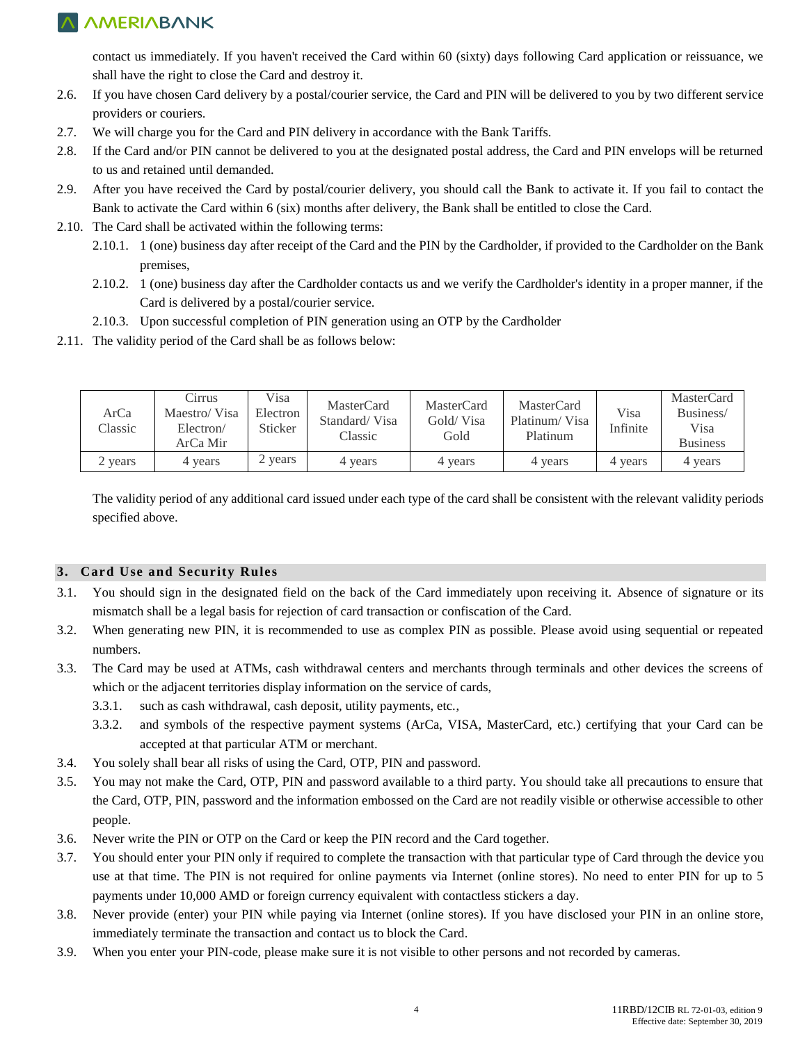contact us immediately. If you haven't received the Card within 60 (sixty) days following Card application or reissuance, we shall have the right to close the Card and destroy it.

- 2.6. If you have chosen Card delivery by a postal/courier service, the Card and PIN will be delivered to you by two different service providers or couriers.
- 2.7. We will charge you for the Card and PIN delivery in accordance with the Bank Tariffs.
- 2.8. If the Card and/or PIN cannot be delivered to you at the designated postal address, the Card and PIN envelops will be returned to us and retained until demanded.
- 2.9. After you have received the Card by postal/courier delivery, you should call the Bank to activate it. If you fail to contact the Bank to activate the Card within 6 (six) months after delivery, the Bank shall be entitled to close the Card.
- 2.10. The Card shall be activated within the following terms:
	- 2.10.1. 1 (one) business day after receipt of the Card and the PIN by the Cardholder, if provided to the Cardholder on the Bank premises,
	- 2.10.2. 1 (one) business day after the Cardholder contacts us and we verify the Cardholder's identity in a proper manner, if the Card is delivered by a postal/courier service.
	- 2.10.3. Upon successful completion of PIN generation using an OTP by the Cardholder
- 2.11. The validity period of the Card shall be as follows below:

| ArCa<br>Classic | Cirrus<br>Maestro/Visa<br>Electron/<br>ArCa Mir | Visa<br>Electron<br>Sticker | MasterCard<br>Standard/Visa<br>Classic | MasterCard<br>Gold/ Visa<br>Gold | MasterCard<br>Platinum/Visa<br>Platinum | Visa<br>Infinite | <b>MasterCard</b><br>Business/<br>Visa<br><b>Business</b> |
|-----------------|-------------------------------------------------|-----------------------------|----------------------------------------|----------------------------------|-----------------------------------------|------------------|-----------------------------------------------------------|
| 2 years         | 4 years                                         | vears                       | 4 years                                | 4 years                          | 4 years                                 | 4 years          | 4 years                                                   |

The validity period of any additional card issued under each type of the card shall be consistent with the relevant validity periods specified above.

### **3. Card Use and Security Rules**

- 3.1. You should sign in the designated field on the back of the Card immediately upon receiving it. Absence of signature or its mismatch shall be a legal basis for rejection of card transaction or confiscation of the Card.
- 3.2. When generating new PIN, it is recommended to use as complex PIN as possible. Please avoid using sequential or repeated numbers.
- 3.3. The Card may be used at ATMs, cash withdrawal centers and merchants through terminals and other devices the screens of which or the adjacent territories display information on the service of cards,
	- 3.3.1. such as cash withdrawal, cash deposit, utility payments, etc.,
	- 3.3.2. and symbols of the respective payment systems (ArCa, VISA, MasterCard, etc.) certifying that your Card can be accepted at that particular ATM or merchant.
- 3.4. You solely shall bear all risks of using the Card, OTP, PIN and password.
- 3.5. You may not make the Card, OTP, PIN and password available to a third party. You should take all precautions to ensure that the Card, OTP, PIN, password and the information embossed on the Card are not readily visible or otherwise accessible to other people.
- 3.6. Never write the PIN or OTP on the Card or keep the PIN record and the Card together.
- 3.7. You should enter your PIN only if required to complete the transaction with that particular type of Card through the device you use at that time. The PIN is not required for online payments via Internet (online stores). No need to enter PIN for up to 5 payments under 10,000 AMD or foreign currency equivalent with contactless stickers a day.
- 3.8. Never provide (enter) your PIN while paying via Internet (online stores). If you have disclosed your PIN in an online store, immediately terminate the transaction and contact us to block the Card.
- 3.9. When you enter your PIN-code, please make sure it is not visible to other persons and not recorded by cameras.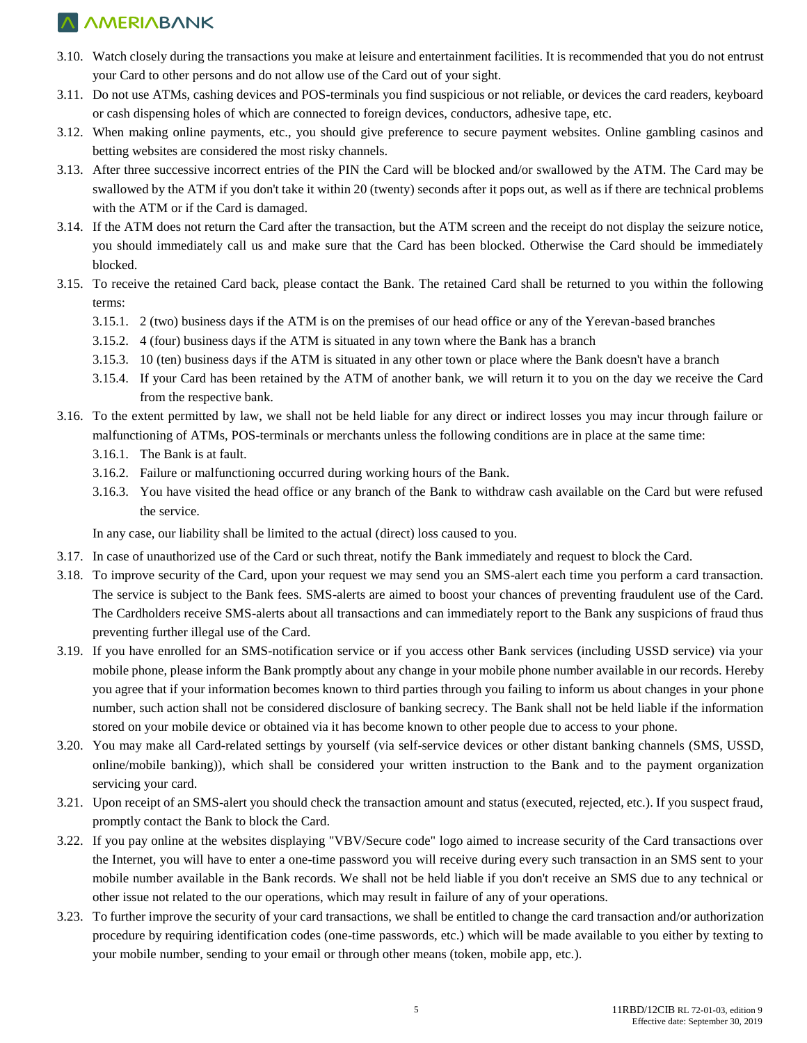- 3.10. Watch closely during the transactions you make at leisure and entertainment facilities. It is recommended that you do not entrust your Card to other persons and do not allow use of the Card out of your sight.
- 3.11. Do not use ATMs, cashing devices and POS-terminals you find suspicious or not reliable, or devices the card readers, keyboard or cash dispensing holes of which are connected to foreign devices, conductors, adhesive tape, etc.
- 3.12. When making online payments, etc., you should give preference to secure payment websites. Online gambling casinos and betting websites are considered the most risky channels.
- 3.13. After three successive incorrect entries of the PIN the Card will be blocked and/or swallowed by the ATM. The Card may be swallowed by the ATM if you don't take it within 20 (twenty) seconds after it pops out, as well as if there are technical problems with the ATM or if the Card is damaged.
- 3.14. If the ATM does not return the Card after the transaction, but the ATM screen and the receipt do not display the seizure notice, you should immediately call us and make sure that the Card has been blocked. Otherwise the Card should be immediately blocked.
- 3.15. To receive the retained Card back, please contact the Bank. The retained Card shall be returned to you within the following terms:
	- 3.15.1. 2 (two) business days if the ATM is on the premises of our head office or any of the Yerevan-based branches
	- 3.15.2. 4 (four) business days if the ATM is situated in any town where the Bank has a branch
	- 3.15.3. 10 (ten) business days if the ATM is situated in any other town or place where the Bank doesn't have a branch
	- 3.15.4. If your Card has been retained by the ATM of another bank, we will return it to you on the day we receive the Card from the respective bank.
- 3.16. To the extent permitted by law, we shall not be held liable for any direct or indirect losses you may incur through failure or malfunctioning of ATMs, POS-terminals or merchants unless the following conditions are in place at the same time:
	- 3.16.1. The Bank is at fault.
	- 3.16.2. Failure or malfunctioning occurred during working hours of the Bank.
	- 3.16.3. You have visited the head office or any branch of the Bank to withdraw cash available on the Card but were refused the service.

In any case, our liability shall be limited to the actual (direct) loss caused to you.

- 3.17. In case of unauthorized use of the Card or such threat, notify the Bank immediately and request to block the Card.
- 3.18. To improve security of the Card, upon your request we may send you an SMS-alert each time you perform a card transaction. The service is subject to the Bank fees. SMS-alerts are aimed to boost your chances of preventing fraudulent use of the Card. The Cardholders receive SMS-alerts about all transactions and can immediately report to the Bank any suspicions of fraud thus preventing further illegal use of the Card.
- 3.19. If you have enrolled for an SMS-notification service or if you access other Bank services (including USSD service) via your mobile phone, please inform the Bank promptly about any change in your mobile phone number available in our records. Hereby you agree that if your information becomes known to third parties through you failing to inform us about changes in your phone number, such action shall not be considered disclosure of banking secrecy. The Bank shall not be held liable if the information stored on your mobile device or obtained via it has become known to other people due to access to your phone.
- 3.20. You may make all Card-related settings by yourself (via self-service devices or other distant banking channels (SMS, USSD, online/mobile banking)), which shall be considered your written instruction to the Bank and to the payment organization servicing your card.
- 3.21. Upon receipt of an SMS-alert you should check the transaction amount and status (executed, rejected, etc.). If you suspect fraud, promptly contact the Bank to block the Card.
- 3.22. If you pay online at the websites displaying "VBV/Secure code" logo aimed to increase security of the Card transactions over the Internet, you will have to enter a one-time password you will receive during every such transaction in an SMS sent to your mobile number available in the Bank records. We shall not be held liable if you don't receive an SMS due to any technical or other issue not related to the our operations, which may result in failure of any of your operations.
- 3.23. To further improve the security of your card transactions, we shall be entitled to change the card transaction and/or authorization procedure by requiring identification codes (one-time passwords, etc.) which will be made available to you either by texting to your mobile number, sending to your email or through other means (token, mobile app, etc.).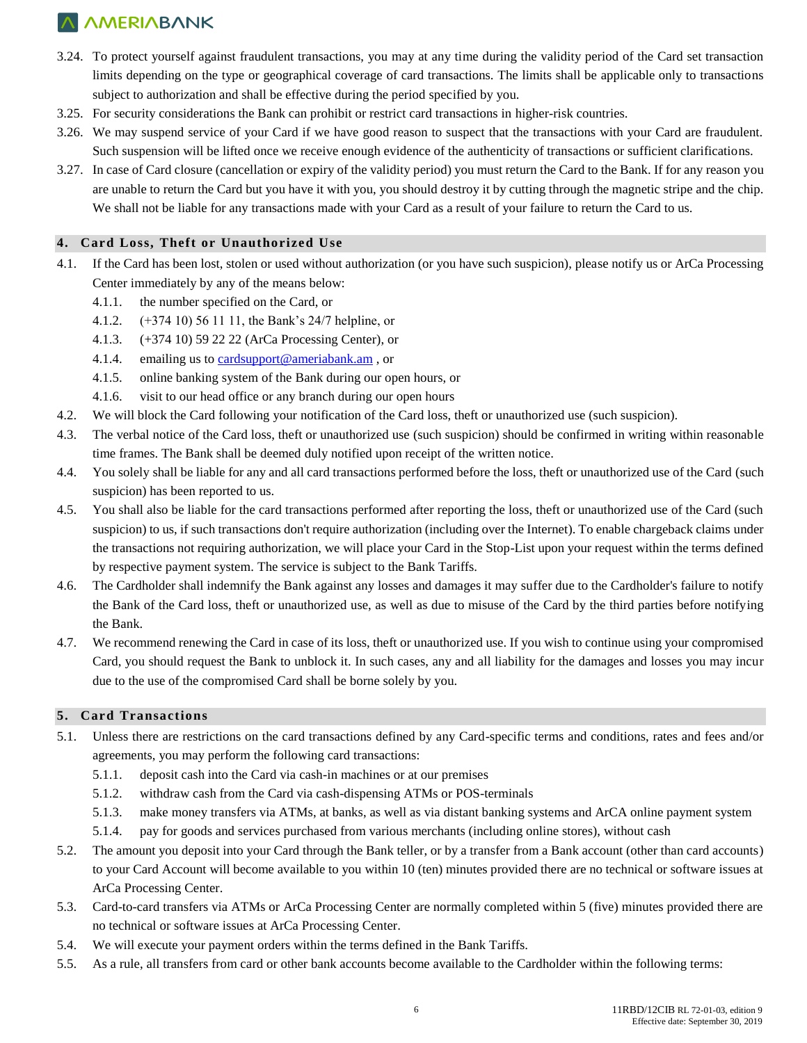- 3.24. To protect yourself against fraudulent transactions, you may at any time during the validity period of the Card set transaction limits depending on the type or geographical coverage of card transactions. The limits shall be applicable only to transactions subject to authorization and shall be effective during the period specified by you.
- 3.25. For security considerations the Bank can prohibit or restrict card transactions in higher-risk countries.
- 3.26. We may suspend service of your Card if we have good reason to suspect that the transactions with your Card are fraudulent. Such suspension will be lifted once we receive enough evidence of the authenticity of transactions or sufficient clarifications.
- 3.27. In case of Card closure (cancellation or expiry of the validity period) you must return the Card to the Bank. If for any reason you are unable to return the Card but you have it with you, you should destroy it by cutting through the magnetic stripe and the chip. We shall not be liable for any transactions made with your Card as a result of your failure to return the Card to us.

#### **4. Card Loss, Theft or Unauthorized Use**

- 4.1. If the Card has been lost, stolen or used without authorization (or you have such suspicion), please notify us or ArCa Processing Center immediately by any of the means below:
	- 4.1.1. the number specified on the Card, or
	- 4.1.2. (+374 10) 56 11 11, the Bank's 24/7 helpline, or
	- 4.1.3. (+374 10) 59 22 22 (ArCa Processing Center), or
	- 4.1.4. emailing us to [cardsupport@ameriabank.am](mailto:cardsupport@ameriabank.am) , or
	- 4.1.5. online banking system of the Bank during our open hours, or
	- 4.1.6. visit to our head office or any branch during our open hours
- 4.2. We will block the Card following your notification of the Card loss, theft or unauthorized use (such suspicion).
- 4.3. The verbal notice of the Card loss, theft or unauthorized use (such suspicion) should be confirmed in writing within reasonable time frames. The Bank shall be deemed duly notified upon receipt of the written notice.
- 4.4. You solely shall be liable for any and all card transactions performed before the loss, theft or unauthorized use of the Card (such suspicion) has been reported to us.
- 4.5. You shall also be liable for the card transactions performed after reporting the loss, theft or unauthorized use of the Card (such suspicion) to us, if such transactions don't require authorization (including over the Internet). To enable chargeback claims under the transactions not requiring authorization, we will place your Card in the Stop-List upon your request within the terms defined by respective payment system. The service is subject to the Bank Tariffs.
- 4.6. The Cardholder shall indemnify the Bank against any losses and damages it may suffer due to the Cardholder's failure to notify the Bank of the Card loss, theft or unauthorized use, as well as due to misuse of the Card by the third parties before notifying the Bank.
- 4.7. We recommend renewing the Card in case of its loss, theft or unauthorized use. If you wish to continue using your compromised Card, you should request the Bank to unblock it. In such cases, any and all liability for the damages and losses you may incur due to the use of the compromised Card shall be borne solely by you.

### **5. Card Transactions**

- 5.1. Unless there are restrictions on the card transactions defined by any Card-specific terms and conditions, rates and fees and/or agreements, you may perform the following card transactions:
	- 5.1.1. deposit cash into the Card via cash-in machines or at our premises
	- 5.1.2. withdraw cash from the Card via cash-dispensing ATMs or POS-terminals
	- 5.1.3. make money transfers via ATMs, at banks, as well as via distant banking systems and ArCA online payment system
	- 5.1.4. pay for goods and services purchased from various merchants (including online stores), without cash
- 5.2. The amount you deposit into your Card through the Bank teller, or by a transfer from a Bank account (other than card accounts) to your Card Account will become available to you within 10 (ten) minutes provided there are no technical or software issues at ArCa Processing Center.
- 5.3. Card-to-card transfers via ATMs or ArCa Processing Center are normally completed within 5 (five) minutes provided there are no technical or software issues at ArCa Processing Center.
- 5.4. We will execute your payment orders within the terms defined in the Bank Tariffs.
- 5.5. As a rule, all transfers from card or other bank accounts become available to the Cardholder within the following terms: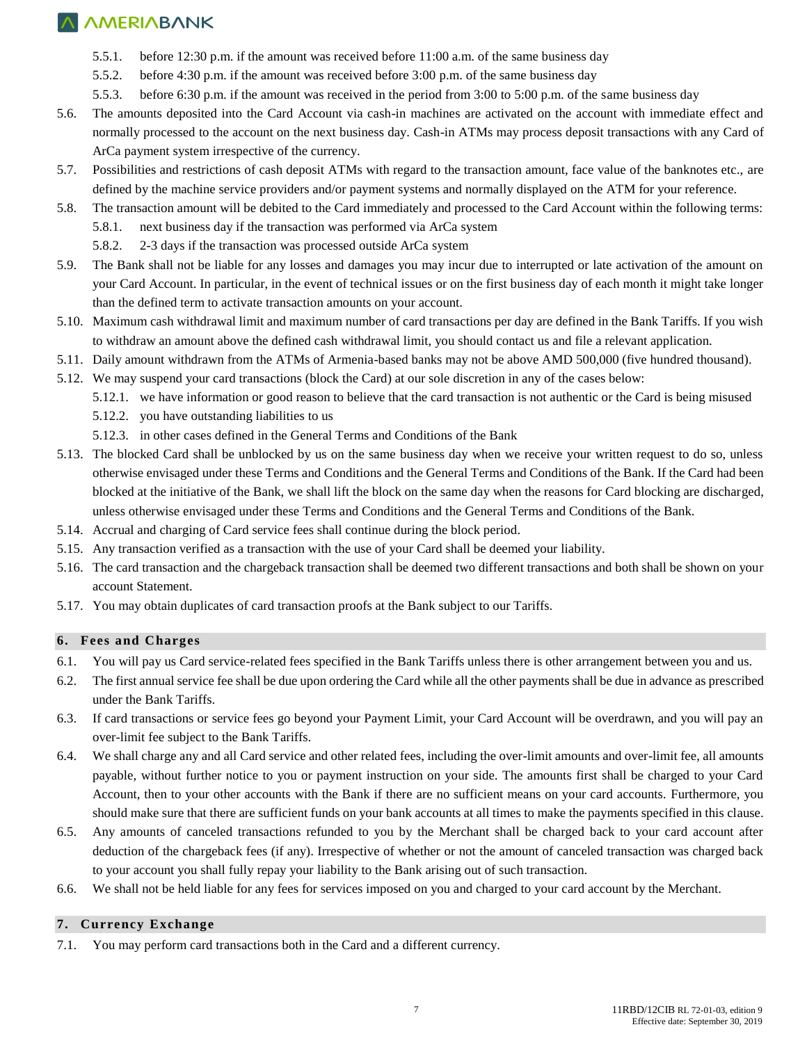- 5.5.1. before 12:30 p.m. if the amount was received before 11:00 a.m. of the same business day
- 5.5.2. before 4:30 p.m. if the amount was received before 3:00 p.m. of the same business day
- 5.5.3. before 6:30 p.m. if the amount was received in the period from 3:00 to 5:00 p.m. of the same business day
- 5.6. The amounts deposited into the Card Account via cash-in machines are activated on the account with immediate effect and normally processed to the account on the next business day. Cash-in ATMs may process deposit transactions with any Card of ArCa payment system irrespective of the currency.
- 5.7. Possibilities and restrictions of cash deposit ATMs with regard to the transaction amount, face value of the banknotes etc., are defined by the machine service providers and/or payment systems and normally displayed on the ATM for your reference.
- 5.8. The transaction amount will be debited to the Card immediately and processed to the Card Account within the following terms:
	- 5.8.1. next business day if the transaction was performed via ArCa system
	- 5.8.2. 2-3 days if the transaction was processed outside ArCa system
- 5.9. The Bank shall not be liable for any losses and damages you may incur due to interrupted or late activation of the amount on your Card Account. In particular, in the event of technical issues or on the first business day of each month it might take longer than the defined term to activate transaction amounts on your account.
- 5.10. Maximum cash withdrawal limit and maximum number of card transactions per day are defined in the Bank Tariffs. If you wish to withdraw an amount above the defined cash withdrawal limit, you should contact us and file a relevant application.
- 5.11. Daily amount withdrawn from the ATMs of Armenia-based banks may not be above AMD 500,000 (five hundred thousand).
- 5.12. We may suspend your card transactions (block the Card) at our sole discretion in any of the cases below:
	- 5.12.1. we have information or good reason to believe that the card transaction is not authentic or the Card is being misused
	- 5.12.2. you have outstanding liabilities to us
	- 5.12.3. in other cases defined in the General Terms and Conditions of the Bank
- 5.13. The blocked Card shall be unblocked by us on the same business day when we receive your written request to do so, unless otherwise envisaged under these Terms and Conditions and the General Terms and Conditions of the Bank. If the Card had been blocked at the initiative of the Bank, we shall lift the block on the same day when the reasons for Card blocking are discharged, unless otherwise envisaged under these Terms and Conditions and the General Terms and Conditions of the Bank.
- 5.14. Accrual and charging of Card service fees shall continue during the block period.
- 5.15. Any transaction verified as a transaction with the use of your Card shall be deemed your liability.
- 5.16. The card transaction and the chargeback transaction shall be deemed two different transactions and both shall be shown on your account Statement.
- 5.17. You may obtain duplicates of card transaction proofs at the Bank subject to our Tariffs.

#### **6. Fees and Charges**

- 6.1. You will pay us Card service-related fees specified in the Bank Tariffs unless there is other arrangement between you and us.
- 6.2. The first annual service fee shall be due upon ordering the Card while all the other payments shall be due in advance as prescribed under the Bank Tariffs.
- 6.3. If card transactions or service fees go beyond your Payment Limit, your Card Account will be overdrawn, and you will pay an over-limit fee subject to the Bank Tariffs.
- 6.4. We shall charge any and all Card service and other related fees, including the over-limit amounts and over-limit fee, all amounts payable, without further notice to you or payment instruction on your side. The amounts first shall be charged to your Card Account, then to your other accounts with the Bank if there are no sufficient means on your card accounts. Furthermore, you should make sure that there are sufficient funds on your bank accounts at all times to make the payments specified in this clause.
- 6.5. Any amounts of canceled transactions refunded to you by the Merchant shall be charged back to your card account after deduction of the chargeback fees (if any). Irrespective of whether or not the amount of canceled transaction was charged back to your account you shall fully repay your liability to the Bank arising out of such transaction.
- 6.6. We shall not be held liable for any fees for services imposed on you and charged to your card account by the Merchant.

#### **7. Currency Exchange**

7.1. You may perform card transactions both in the Card and a different currency.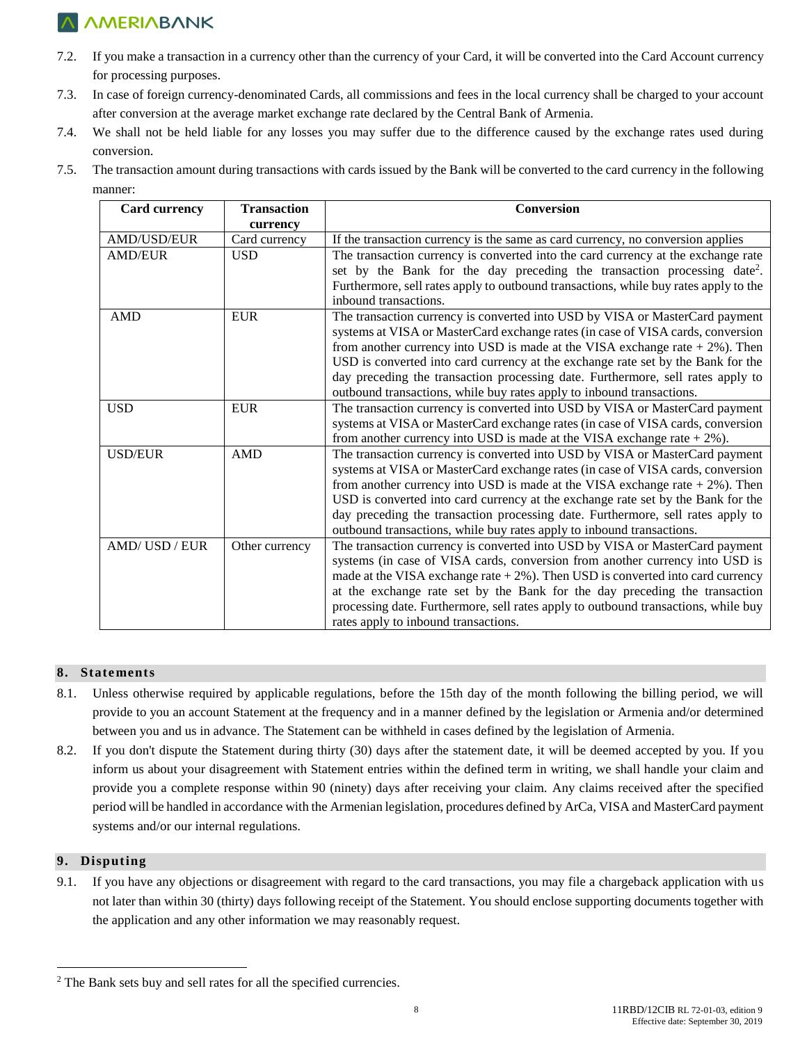- 7.2. If you make a transaction in a currency other than the currency of your Card, it will be converted into the Card Account currency for processing purposes.
- 7.3. In case of foreign currency-denominated Cards, all commissions and fees in the local currency shall be charged to your account after conversion at the average market exchange rate declared by the Central Bank of Armenia.
- 7.4. We shall not be held liable for any losses you may suffer due to the difference caused by the exchange rates used during conversion.
- 7.5. The transaction amount during transactions with cards issued by the Bank will be converted to the card currency in the following manner:

| <b>Transaction</b><br><b>Card currency</b> |                           | Conversion                                                                           |  |  |
|--------------------------------------------|---------------------------|--------------------------------------------------------------------------------------|--|--|
| AMD/USD/EUR                                | currency<br>Card currency | If the transaction currency is the same as card currency, no conversion applies      |  |  |
| <b>AMD/EUR</b>                             | <b>USD</b>                | The transaction currency is converted into the card currency at the exchange rate    |  |  |
|                                            |                           | set by the Bank for the day preceding the transaction processing date <sup>2</sup> . |  |  |
|                                            |                           | Furthermore, sell rates apply to outbound transactions, while buy rates apply to the |  |  |
|                                            |                           | inbound transactions.                                                                |  |  |
| <b>AMD</b>                                 | <b>EUR</b>                | The transaction currency is converted into USD by VISA or MasterCard payment         |  |  |
|                                            |                           | systems at VISA or MasterCard exchange rates (in case of VISA cards, conversion      |  |  |
|                                            |                           | from another currency into USD is made at the VISA exchange rate $+2\%$ ). Then      |  |  |
|                                            |                           | USD is converted into card currency at the exchange rate set by the Bank for the     |  |  |
|                                            |                           | day preceding the transaction processing date. Furthermore, sell rates apply to      |  |  |
|                                            |                           | outbound transactions, while buy rates apply to inbound transactions.                |  |  |
| <b>USD</b>                                 | ${\rm EUR}$               | The transaction currency is converted into USD by VISA or MasterCard payment         |  |  |
|                                            |                           | systems at VISA or MasterCard exchange rates (in case of VISA cards, conversion      |  |  |
|                                            |                           | from another currency into USD is made at the VISA exchange rate $+2\%$ ).           |  |  |
| <b>USD/EUR</b>                             | AMD                       | The transaction currency is converted into USD by VISA or MasterCard payment         |  |  |
|                                            |                           | systems at VISA or MasterCard exchange rates (in case of VISA cards, conversion      |  |  |
|                                            |                           | from another currency into USD is made at the VISA exchange rate $+2\%$ ). Then      |  |  |
|                                            |                           | USD is converted into card currency at the exchange rate set by the Bank for the     |  |  |
|                                            |                           | day preceding the transaction processing date. Furthermore, sell rates apply to      |  |  |
|                                            |                           | outbound transactions, while buy rates apply to inbound transactions.                |  |  |
| AMD/USD/EUR                                | Other currency            | The transaction currency is converted into USD by VISA or MasterCard payment         |  |  |
|                                            |                           | systems (in case of VISA cards, conversion from another currency into USD is         |  |  |
|                                            |                           | made at the VISA exchange rate $+2\%$ ). Then USD is converted into card currency    |  |  |
|                                            |                           | at the exchange rate set by the Bank for the day preceding the transaction           |  |  |
|                                            |                           | processing date. Furthermore, sell rates apply to outbound transactions, while buy   |  |  |
|                                            |                           | rates apply to inbound transactions.                                                 |  |  |

### **8. Statements**

- 8.1. Unless otherwise required by applicable regulations, before the 15th day of the month following the billing period, we will provide to you an account Statement at the frequency and in a manner defined by the legislation or Armenia and/or determined between you and us in advance. The Statement can be withheld in cases defined by the legislation of Armenia.
- 8.2. If you don't dispute the Statement during thirty (30) days after the statement date, it will be deemed accepted by you. If you inform us about your disagreement with Statement entries within the defined term in writing, we shall handle your claim and provide you a complete response within 90 (ninety) days after receiving your claim. Any claims received after the specified period will be handled in accordance with the Armenian legislation, procedures defined by ArCa, VISA and MasterCard payment systems and/or our internal regulations.

### **9. Disputing**

 $\overline{a}$ 

9.1. If you have any objections or disagreement with regard to the card transactions, you may file a chargeback application with us not later than within 30 (thirty) days following receipt of the Statement. You should enclose supporting documents together with the application and any other information we may reasonably request.

<sup>2</sup> The Bank sets buy and sell rates for all the specified currencies.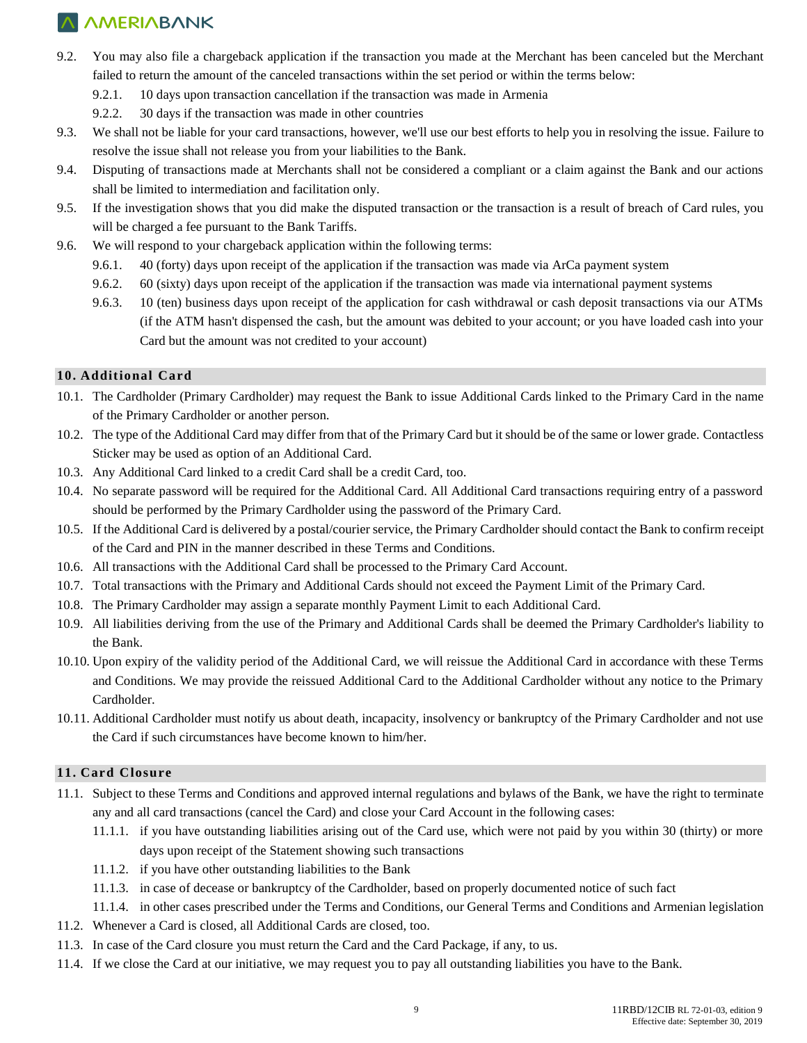- 9.2. You may also file a chargeback application if the transaction you made at the Merchant has been canceled but the Merchant failed to return the amount of the canceled transactions within the set period or within the terms below:
	- 9.2.1. 10 days upon transaction cancellation if the transaction was made in Armenia
	- 9.2.2. 30 days if the transaction was made in other countries
- 9.3. We shall not be liable for your card transactions, however, we'll use our best efforts to help you in resolving the issue. Failure to resolve the issue shall not release you from your liabilities to the Bank.
- 9.4. Disputing of transactions made at Merchants shall not be considered a compliant or a claim against the Bank and our actions shall be limited to intermediation and facilitation only.
- 9.5. If the investigation shows that you did make the disputed transaction or the transaction is a result of breach of Card rules, you will be charged a fee pursuant to the Bank Tariffs.
- 9.6. We will respond to your chargeback application within the following terms:
	- 9.6.1. 40 (forty) days upon receipt of the application if the transaction was made via ArCa payment system
	- 9.6.2. 60 (sixty) days upon receipt of the application if the transaction was made via international payment systems
	- 9.6.3. 10 (ten) business days upon receipt of the application for cash withdrawal or cash deposit transactions via our ATMs (if the ATM hasn't dispensed the cash, but the amount was debited to your account; or you have loaded cash into your Card but the amount was not credited to your account)

### **10. Additional Card**

- 10.1. The Cardholder (Primary Cardholder) may request the Bank to issue Additional Cards linked to the Primary Card in the name of the Primary Cardholder or another person.
- 10.2. The type of the Additional Card may differ from that of the Primary Card but it should be of the same or lower grade. Contactless Sticker may be used as option of an Additional Card.
- 10.3. Any Additional Card linked to a credit Card shall be a credit Card, too.
- 10.4. No separate password will be required for the Additional Card. All Additional Card transactions requiring entry of a password should be performed by the Primary Cardholder using the password of the Primary Card.
- 10.5. If the Additional Card is delivered by a postal/courier service, the Primary Cardholder should contact the Bank to confirm receipt of the Card and PIN in the manner described in these Terms and Conditions.
- 10.6. All transactions with the Additional Card shall be processed to the Primary Card Account.
- 10.7. Total transactions with the Primary and Additional Cards should not exceed the Payment Limit of the Primary Card.
- 10.8. The Primary Cardholder may assign a separate monthly Payment Limit to each Additional Card.
- 10.9. All liabilities deriving from the use of the Primary and Additional Cards shall be deemed the Primary Cardholder's liability to the Bank.
- 10.10. Upon expiry of the validity period of the Additional Card, we will reissue the Additional Card in accordance with these Terms and Conditions. We may provide the reissued Additional Card to the Additional Cardholder without any notice to the Primary Cardholder.
- 10.11. Additional Cardholder must notify us about death, incapacity, insolvency or bankruptcy of the Primary Cardholder and not use the Card if such circumstances have become known to him/her.

#### **11. Card Closure**

- 11.1. Subject to these Terms and Conditions and approved internal regulations and bylaws of the Bank, we have the right to terminate any and all card transactions (cancel the Card) and close your Card Account in the following cases:
	- 11.1.1. if you have outstanding liabilities arising out of the Card use, which were not paid by you within 30 (thirty) or more days upon receipt of the Statement showing such transactions
	- 11.1.2. if you have other outstanding liabilities to the Bank
	- 11.1.3. in case of decease or bankruptcy of the Cardholder, based on properly documented notice of such fact
- 11.1.4. in other cases prescribed under the Terms and Conditions, our General Terms and Conditions and Armenian legislation
- 11.2. Whenever a Card is closed, all Additional Cards are closed, too.
- 11.3. In case of the Card closure you must return the Card and the Card Package, if any, to us.
- 11.4. If we close the Card at our initiative, we may request you to pay all outstanding liabilities you have to the Bank.